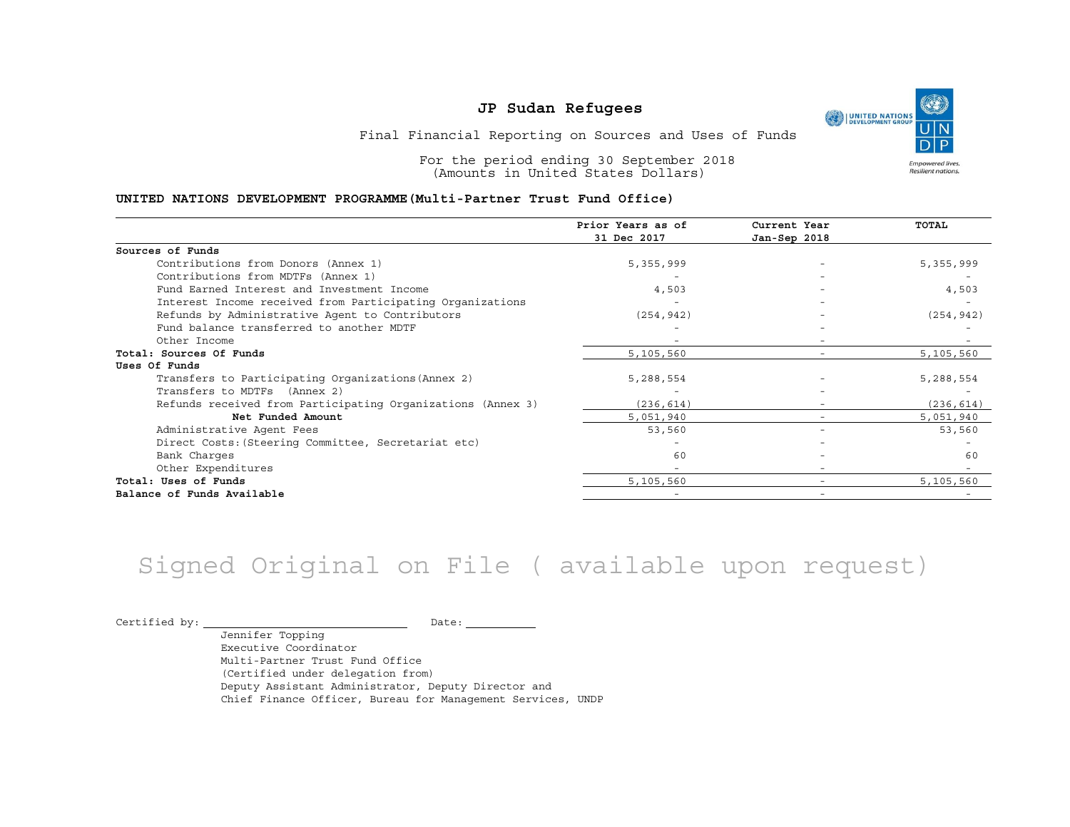Final Financial Reporting on Sources and Uses of Funds

For the period ending 30 September 2018 (Amounts in United States Dollars)

#### **UNITED NATIONS DEVELOPMENT PROGRAMME(Multi-Partner Trust Fund Office)**

|                                                             | Prior Years as of<br>31 Dec 2017 | Current Year<br>Jan-Sep 2018 | TOTAL      |
|-------------------------------------------------------------|----------------------------------|------------------------------|------------|
|                                                             |                                  |                              |            |
| Sources of Funds                                            |                                  |                              |            |
| Contributions from Donors (Annex 1)                         | 5,355,999                        | $\overline{\phantom{m}}$     | 5,355,999  |
| Contributions from MDTFs (Annex 1)                          |                                  |                              |            |
| Fund Earned Interest and Investment Income                  | 4,503                            |                              | 4,503      |
| Interest Income received from Participating Organizations   |                                  |                              |            |
| Refunds by Administrative Agent to Contributors             | (254, 942)                       |                              | (254, 942) |
| Fund balance transferred to another MDTF                    |                                  |                              |            |
| Other Income                                                |                                  | $\overline{\phantom{0}}$     |            |
| Total: Sources Of Funds                                     | 5,105,560                        |                              | 5,105,560  |
| Uses Of Funds                                               |                                  |                              |            |
| Transfers to Participating Organizations (Annex 2)          | 5,288,554                        |                              | 5,288,554  |
| Transfers to MDTFs (Annex 2)                                |                                  |                              |            |
| Refunds received from Participating Organizations (Annex 3) | (236, 614)                       |                              | (236, 614) |
| Net Funded Amount                                           | 5,051,940                        |                              | 5,051,940  |
| Administrative Agent Fees                                   | 53,560                           | $\overline{\phantom{a}}$     | 53,560     |
| Direct Costs: (Steering Committee, Secretariat etc)         |                                  |                              |            |
| Bank Charges                                                | 60                               |                              | 60         |
| Other Expenditures                                          |                                  | $\overline{\phantom{m}}$     |            |
| Total: Uses of Funds                                        | 5,105,560                        |                              | 5,105,560  |
| Balance of Funds Available                                  |                                  |                              |            |

# Signed Original on File ( available upon request)

 $\begin{picture}(180,10) \put(0,0){\vector(1,0){100}} \put(15,0){\vector(1,0){100}} \put(15,0){\vector(1,0){100}} \put(15,0){\vector(1,0){100}} \put(15,0){\vector(1,0){100}} \put(15,0){\vector(1,0){100}} \put(15,0){\vector(1,0){100}} \put(15,0){\vector(1,0){100}} \put(15,0){\vector(1,0){100}} \put(15,0){\vector(1,0){100}} \put(15,0){\vector(1,0){100}}$ 

Jennifer Topping Executive Coordinator Multi-Partner Trust Fund Office (Certified under delegation from) Deputy Assistant Administrator, Deputy Director and Chief Finance Officer, Bureau for Management Services, UNDP

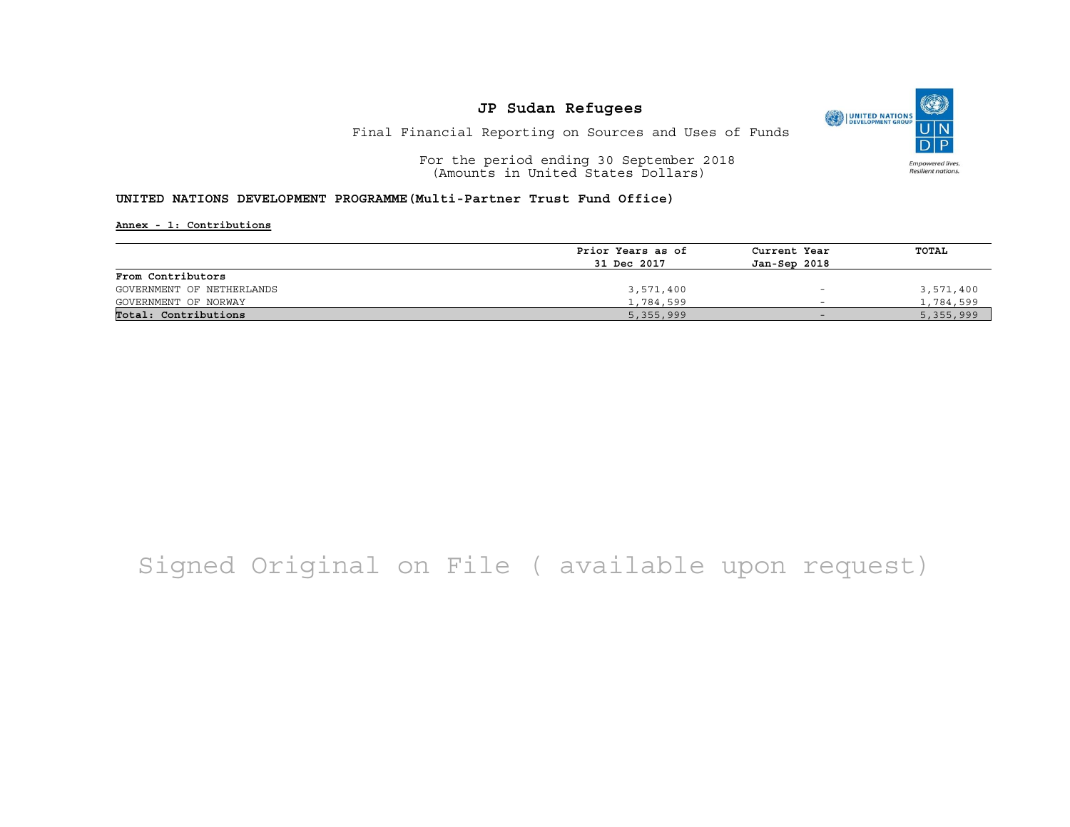

Final Financial Reporting on Sources and Uses of Funds

For the period ending 30 September 2018 (Amounts in United States Dollars)

#### **UNITED NATIONS DEVELOPMENT PROGRAMME(Multi-Partner Trust Fund Office)**

**Annex - 1: Contributions**

|                           | Prior Years as of | Current Year             | TOTAL     |
|---------------------------|-------------------|--------------------------|-----------|
|                           |                   |                          |           |
|                           | 31 Dec 2017       | Jan-Sep 2018             |           |
| From Contributors         |                   |                          |           |
| GOVERNMENT OF NETHERLANDS | 3,571,400         | $\overline{\phantom{0}}$ | 3,571,400 |
| GOVERNMENT OF NORWAY      | 1,784,599         | $\overline{\phantom{0}}$ | 1,784,599 |
| Total: Contributions      | 5,355,999         | $-$                      | 5,355,999 |

## Signed Original on File ( available upon request)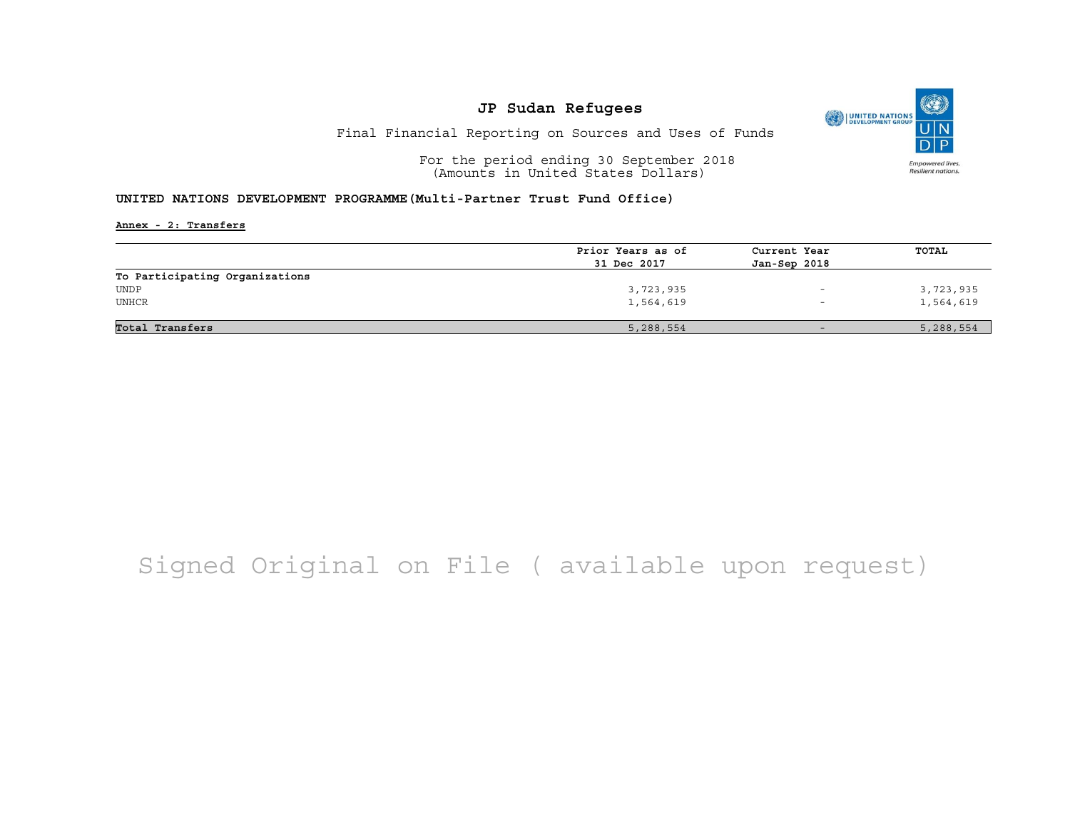

Final Financial Reporting on Sources and Uses of Funds

For the period ending 30 September 2018 (Amounts in United States Dollars)

#### **UNITED NATIONS DEVELOPMENT PROGRAMME(Multi-Partner Trust Fund Office)**

**Annex - 2: Transfers**

|                                | Prior Years as of | Current Year | TOTAL     |
|--------------------------------|-------------------|--------------|-----------|
|                                | 31 Dec 2017       | Jan-Sep 2018 |           |
| To Participating Organizations |                   |              |           |
| UNDP                           | 3,723,935         |              | 3,723,935 |
| UNHCR                          | 1,564,619         |              | 1,564,619 |
|                                |                   |              |           |
| Total Transfers                | 5,288,554         | $-$          | 5,288,554 |

## Signed Original on File ( available upon request)